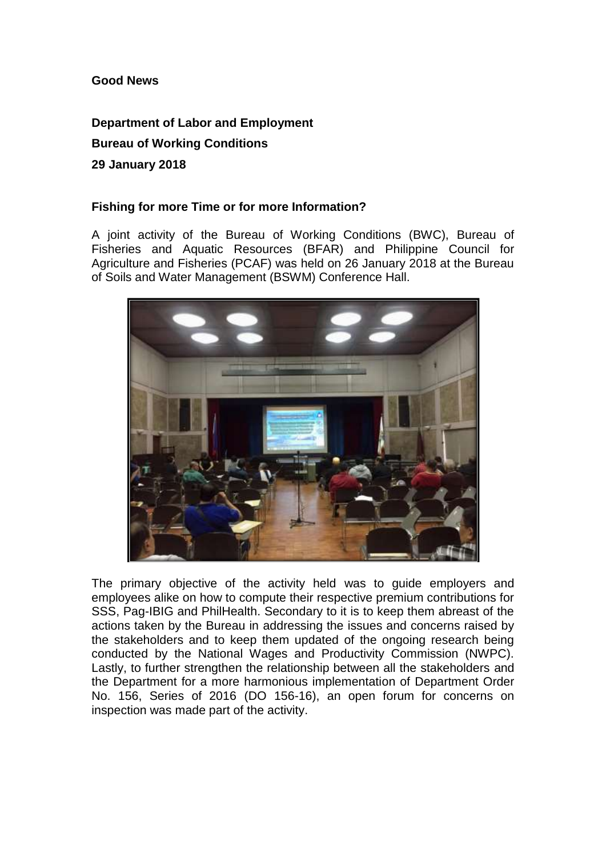## **Good News**

## **Department of Labor and Employment Bureau of Working Conditions 29 January 2018**

## **Fishing for more Time or for more Information?**

A joint activity of the Bureau of Working Conditions (BWC), Bureau of Fisheries and Aquatic Resources (BFAR) and Philippine Council for Agriculture and Fisheries (PCAF) was held on 26 January 2018 at the Bureau of Soils and Water Management (BSWM) Conference Hall.



The primary objective of the activity held was to guide employers and employees alike on how to compute their respective premium contributions for SSS, Pag-IBIG and PhilHealth. Secondary to it is to keep them abreast of the actions taken by the Bureau in addressing the issues and concerns raised by the stakeholders and to keep them updated of the ongoing research being conducted by the National Wages and Productivity Commission (NWPC). Lastly, to further strengthen the relationship between all the stakeholders and the Department for a more harmonious implementation of Department Order No. 156, Series of 2016 (DO 156-16), an open forum for concerns on inspection was made part of the activity.